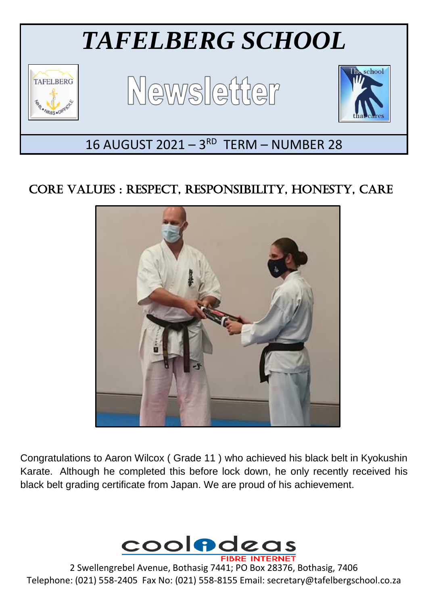

## CORE VALUES : RESPECT, RESPONSIBILITY, HONESTY, CARE



Congratulations to Aaron Wilcox ( Grade 11 ) who achieved his black belt in Kyokushin Karate. Although he completed this before lock down, he only recently received his black belt grading certificate from Japan. We are proud of his achievement.



2 Swellengrebel Avenue, Bothasig 7441; PO Box 28376, Bothasig, 7406 Telephone: (021) 558-2405 Fax No: (021) 558-8155 Email: secretary@tafelbergschool.co.za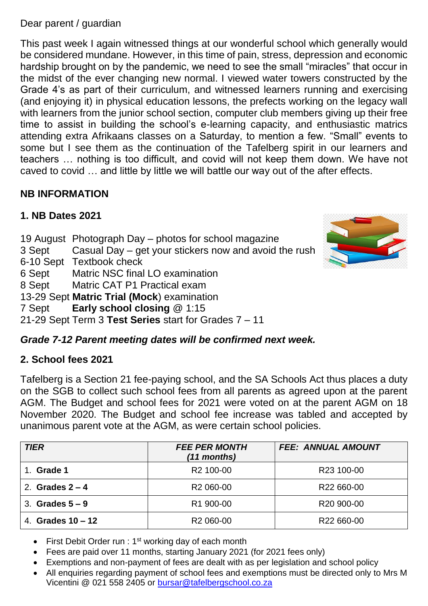Dear parent / guardian

This past week I again witnessed things at our wonderful school which generally would be considered mundane. However, in this time of pain, stress, depression and economic hardship brought on by the pandemic, we need to see the small "miracles" that occur in the midst of the ever changing new normal. I viewed water towers constructed by the Grade 4's as part of their curriculum, and witnessed learners running and exercising (and enjoying it) in physical education lessons, the prefects working on the legacy wall with learners from the junior school section, computer club members giving up their free time to assist in building the school's e-learning capacity, and enthusiastic matrics attending extra Afrikaans classes on a Saturday, to mention a few. "Small" events to some but I see them as the continuation of the Tafelberg spirit in our learners and teachers … nothing is too difficult, and covid will not keep them down. We have not caved to covid … and little by little we will battle our way out of the after effects.

### **NB INFORMATION**

## **1. NB Dates 2021**

- 19 August Photograph Day photos for school magazine
- 3 Sept Casual Day get your stickers now and avoid the rush
- 6-10 Sept Textbook check

6 Sept Matric NSC final LO examination

8 Sept Matric CAT P1 Practical exam

13-29 Sept **Matric Trial (Mock**) examination

7 Sept **Early school closing** @ 1:15

21-29 Sept Term 3 **Test Series** start for Grades 7 – 11

## *Grade 7-12 Parent meeting dates will be confirmed next week.*

## **2. School fees 2021**

Tafelberg is a Section 21 fee-paying school, and the SA Schools Act thus places a duty on the SGB to collect such school fees from all parents as agreed upon at the parent AGM. The Budget and school fees for 2021 were voted on at the parent AGM on 18 November 2020. The Budget and school fee increase was tabled and accepted by unanimous parent vote at the AGM, as were certain school policies.

| <b>TIER</b>         | <b>FEE PER MONTH</b><br>(11 months) | <b>FEE: ANNUAL AMOUNT</b> |
|---------------------|-------------------------------------|---------------------------|
| Grade 1             | R <sub>2</sub> 100-00               | R <sub>23</sub> 100-00    |
| 2. Grades $2 - 4$   | R <sub>2</sub> 060-00               | R22 660-00                |
| 3. Grades $5-9$     | R1 900-00                           | R <sub>20</sub> 900-00    |
| 4. Grades $10 - 12$ | R <sub>2</sub> 060-00               | R22 660-00                |

- First Debit Order run : 1<sup>st</sup> working day of each month
- Fees are paid over 11 months, starting January 2021 (for 2021 fees only)
- Exemptions and non-payment of fees are dealt with as per legislation and school policy
- All enquiries regarding payment of school fees and exemptions must be directed only to Mrs M Vicentini @ 021 558 2405 or [bursar@tafelbergschool.co.za](mailto:bursar@tafelbergschool.co.za)

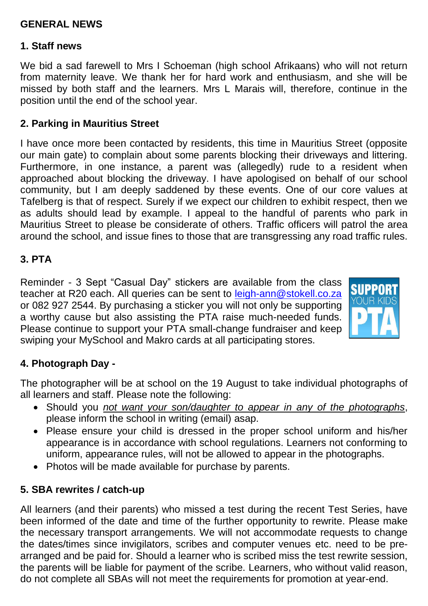#### **GENERAL NEWS**

#### **1. Staff news**

We bid a sad farewell to Mrs I Schoeman (high school Afrikaans) who will not return from maternity leave. We thank her for hard work and enthusiasm, and she will be missed by both staff and the learners. Mrs L Marais will, therefore, continue in the position until the end of the school year.

#### **2. Parking in Mauritius Street**

I have once more been contacted by residents, this time in Mauritius Street (opposite our main gate) to complain about some parents blocking their driveways and littering. Furthermore, in one instance, a parent was (allegedly) rude to a resident when approached about blocking the driveway. I have apologised on behalf of our school community, but I am deeply saddened by these events. One of our core values at Tafelberg is that of respect. Surely if we expect our children to exhibit respect, then we as adults should lead by example. I appeal to the handful of parents who park in Mauritius Street to please be considerate of others. Traffic officers will patrol the area around the school, and issue fines to those that are transgressing any road traffic rules.

#### **3. PTA**

Reminder - 3 Sept "Casual Day" stickers are available from the class teacher at R20 each. All queries can be sent to [leigh-ann@stokell.co.za](mailto:leigh-ann@stokell.co.za) or 082 927 2544. By purchasing a sticker you will not only be supporting a worthy cause but also assisting the PTA raise much-needed funds. Please continue to support your PTA small-change fundraiser and keep swiping your MySchool and Makro cards at all participating stores.



#### **4. Photograph Day -**

The photographer will be at school on the 19 August to take individual photographs of all learners and staff. Please note the following:

- Should you *not want your son/daughter to appear in any of the photographs*, please inform the school in writing (email) asap.
- Please ensure your child is dressed in the proper school uniform and his/her appearance is in accordance with school regulations. Learners not conforming to uniform, appearance rules, will not be allowed to appear in the photographs.
- Photos will be made available for purchase by parents.

#### **5. SBA rewrites / catch-up**

All learners (and their parents) who missed a test during the recent Test Series, have been informed of the date and time of the further opportunity to rewrite. Please make the necessary transport arrangements. We will not accommodate requests to change the dates/times since invigilators, scribes and computer venues etc. need to be prearranged and be paid for. Should a learner who is scribed miss the test rewrite session, the parents will be liable for payment of the scribe. Learners, who without valid reason, do not complete all SBAs will not meet the requirements for promotion at year-end.